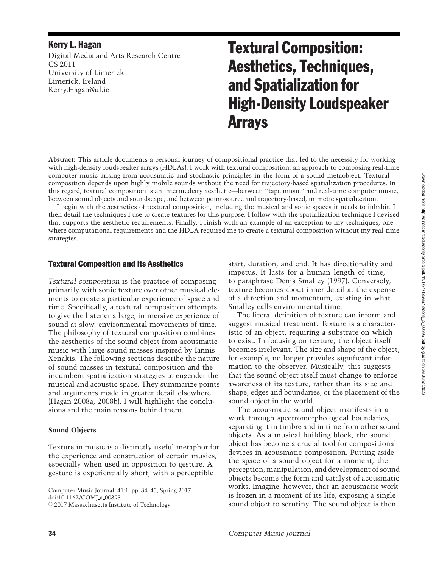## Kerry L. Hagan

Digital Media and Arts Research Centre CS 2011 University of Limerick Limerick, Ireland Kerry.Hagan@ul.ie

# Textural Composition: Aesthetics, Techniques, and Spatialization for High-Density Loudspeaker Arrays

**Abstract:** This article documents a personal journey of compositional practice that led to the necessity for working with high-density loudspeaker arrays (HDLAs). I work with textural composition, an approach to composing real-time computer music arising from acousmatic and stochastic principles in the form of a sound metaobject. Textural composition depends upon highly mobile sounds without the need for trajectory-based spatialization procedures. In this regard, textural composition is an intermediary aesthetic—between "tape music" and real-time computer music, between sound objects and soundscape, and between point-source and trajectory-based, mimetic spatialization.

I begin with the aesthetics of textural composition, including the musical and sonic spaces it needs to inhabit. I then detail the techniques I use to create textures for this purpose. I follow with the spatialization technique I devised that supports the aesthetic requirements. Finally, I finish with an example of an exception to my techniques, one where computational requirements and the HDLA required me to create a textural composition without my real-time strategies.

## Textural Composition and Its Aesthetics

*Textural composition* is the practice of composing primarily with sonic texture over other musical elements to create a particular experience of space and time. Specifically, a textural composition attempts to give the listener a large, immersive experience of sound at slow, environmental movements of time. The philosophy of textural composition combines the aesthetics of the sound object from acousmatic music with large sound masses inspired by Iannis Xenakis. The following sections describe the nature of sound masses in textural composition and the incumbent spatialization strategies to engender the musical and acoustic space. They summarize points and arguments made in greater detail elsewhere (Hagan 2008a, 2008b). I will highlight the conclusions and the main reasons behind them.

## **Sound Objects**

Texture in music is a distinctly useful metaphor for the experience and construction of certain musics, especially when used in opposition to gesture. A gesture is experientially short, with a perceptible

Computer Music Journal, 41:1, pp. 34–45, Spring 2017 doi:10.1162/COMJ\_a\_00395  $© 2017 Massachusetts Institute of Technology.$ 

start, duration, and end. It has directionality and impetus. It lasts for a human length of time, to paraphrase Denis Smalley (1997). Conversely, texture becomes about inner detail at the expense of a direction and momentum, existing in what Smalley calls environmental time.

The literal definition of texture can inform and suggest musical treatment. Texture is a characteristic of an object, requiring a substrate on which to exist. In focusing on texture, the object itself becomes irrelevant. The size and shape of the object, for example, no longer provides significant information to the observer. Musically, this suggests that the sound object itself must change to enforce awareness of its texture, rather than its size and shape, edges and boundaries, or the placement of the sound object in the world.

The acousmatic sound object manifests in a work through spectromorphological boundaries, separating it in timbre and in time from other sound objects. As a musical building block, the sound object has become a crucial tool for compositional devices in acousmatic composition. Putting aside the space of a sound object for a moment, the perception, manipulation, and development of sound objects become the form and catalyst of acousmatic works. Imagine, however, that an acousmatic work is frozen in a moment of its life, exposing a single sound object to scrutiny. The sound object is then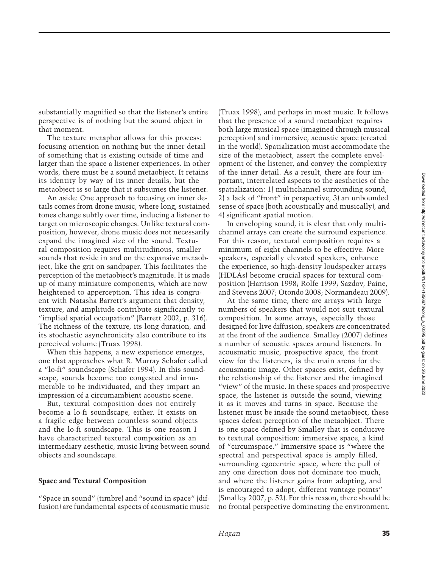substantially magnified so that the listener's entire perspective is of nothing but the sound object in that moment.

The texture metaphor allows for this process: focusing attention on nothing but the inner detail of something that is existing outside of time and larger than the space a listener experiences. In other words, there must be a sound metaobject. It retains its identity by way of its inner details, but the metaobject is so large that it subsumes the listener.

An aside: One approach to focusing on inner details comes from drone music, where long, sustained tones change subtly over time, inducing a listener to target on microscopic changes. Unlike textural composition, however, drone music does not necessarily expand the imagined size of the sound. Textural composition requires multitudinous, smaller sounds that reside in and on the expansive metaobject, like the grit on sandpaper. This facilitates the perception of the metaobject's magnitude. It is made up of many miniature components, which are now heightened to apperception. This idea is congruent with Natasha Barrett's argument that density, texture, and amplitude contribute significantly to "implied spatial occupation" (Barrett 2002, p. 316). The richness of the texture, its long duration, and its stochastic asynchronicity also contribute to its perceived volume (Truax 1998).

When this happens, a new experience emerges, one that approaches what R. Murray Schafer called a "lo-fi" soundscape (Schafer 1994). In this soundscape, sounds become too congested and innumerable to be individuated, and they impart an impression of a circumambient acoustic scene.

But, textural composition does not entirely become a lo-fi soundscape, either. It exists on a fragile edge between countless sound objects and the lo-fi soundscape. This is one reason I have characterized textural composition as an intermediary aesthetic, music living between sound objects and soundscape.

#### **Space and Textural Composition**

"Space in sound" (timbre) and "sound in space" (diffusion) are fundamental aspects of acousmatic music (Truax 1998), and perhaps in most music. It follows that the presence of a sound metaobject requires both large musical space (imagined through musical perception) and immersive, acoustic space (created in the world). Spatialization must accommodate the size of the metaobject, assert the complete envelopment of the listener, and convey the complexity of the inner detail. As a result, there are four important, interrelated aspects to the aesthetics of the spatialization: 1) multichannel surrounding sound, 2) a lack of "front" in perspective, 3) an unbounded sense of space (both acoustically and musically), and 4) significant spatial motion.

In enveloping sound, it is clear that only multichannel arrays can create the surround experience. For this reason, textural composition requires a minimum of eight channels to be effective. More speakers, especially elevated speakers, enhance the experience, so high-density loudspeaker arrays (HDLAs) become crucial spaces for textural composition (Harrison 1998; Rolfe 1999; Sazdov, Paine, and Stevens 2007; Otondo 2008; Normandeau 2009).

At the same time, there are arrays with large numbers of speakers that would not suit textural composition. In some arrays, especially those designed for live diffusion, speakers are concentrated at the front of the audience. Smalley (2007) defines a number of acoustic spaces around listeners. In acousmatic music, prospective space, the front view for the listeners, is the main arena for the acousmatic image. Other spaces exist, defined by the relationship of the listener and the imagined "view" of the music. In these spaces and prospective space, the listener is outside the sound, viewing it as it moves and turns in space. Because the listener must be inside the sound metaobject, these spaces defeat perception of the metaobject. There is one space defined by Smalley that is conducive to textural composition: immersive space, a kind of "circumspace." Immersive space is "where the spectral and perspectival space is amply filled, surrounding egocentric space, where the pull of any one direction does not dominate too much, and where the listener gains from adopting, and is encouraged to adopt, different vantage points" (Smalley 2007, p. 52). For this reason, there should be no frontal perspective dominating the environment.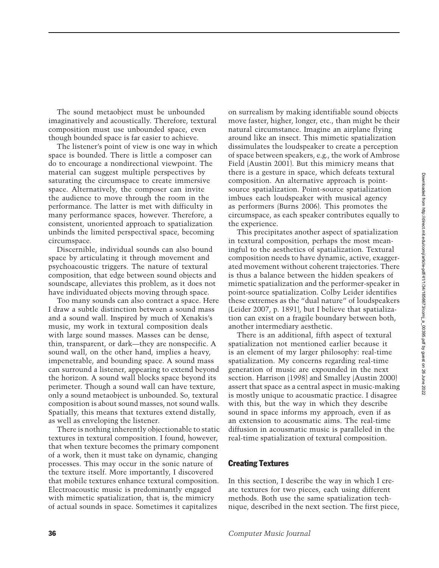The sound metaobject must be unbounded imaginatively and acoustically. Therefore, textural composition must use unbounded space, even though bounded space is far easier to achieve.

The listener's point of view is one way in which space is bounded. There is little a composer can do to encourage a nondirectional viewpoint. The material can suggest multiple perspectives by saturating the circumspace to create immersive space. Alternatively, the composer can invite the audience to move through the room in the performance. The latter is met with difficulty in many performance spaces, however. Therefore, a consistent, unoriented approach to spatialization unbinds the limited perspectival space, becoming circumspace.

Discernible, individual sounds can also bound space by articulating it through movement and psychoacoustic triggers. The nature of textural composition, that edge between sound objects and soundscape, alleviates this problem, as it does not have individuated objects moving through space.

Too many sounds can also contract a space. Here I draw a subtle distinction between a sound mass and a sound wall. Inspired by much of Xenakis's music, my work in textural composition deals with large sound masses. Masses can be dense, thin, transparent, or dark—they are nonspecific. A sound wall, on the other hand, implies a heavy, impenetrable, and bounding space. A sound mass can surround a listener, appearing to extend beyond the horizon. A sound wall blocks space beyond its perimeter. Though a sound wall can have texture, only a sound metaobject is unbounded. So, textural composition is about sound masses, not sound walls. Spatially, this means that textures extend distally, as well as enveloping the listener.

There is nothing inherently objectionable to static textures in textural composition. I found, however, that when texture becomes the primary component of a work, then it must take on dynamic, changing processes. This may occur in the sonic nature of the texture itself. More importantly, I discovered that mobile textures enhance textural composition. Electroacoustic music is predominantly engaged with mimetic spatialization, that is, the mimicry of actual sounds in space. Sometimes it capitalizes

on surrealism by making identifiable sound objects move faster, higher, longer, etc., than might be their natural circumstance. Imagine an airplane flying around like an insect. This mimetic spatialization dissimulates the loudspeaker to create a perception of space between speakers, e.g., the work of Ambrose Field (Austin 2001). But this mimicry means that there is a gesture in space, which defeats textural composition. An alternative approach is pointsource spatialization. Point-source spatialization imbues each loudspeaker with musical agency as performers (Burns 2006). This promotes the circumspace, as each speaker contributes equally to the experience.

This precipitates another aspect of spatialization in textural composition, perhaps the most meaningful to the aesthetics of spatialization. Textural composition needs to have dynamic, active, exaggerated movement without coherent trajectories. There is thus a balance between the hidden speakers of mimetic spatialization and the performer-speaker in point-source spatialization. Colby Leider identifies these extremes as the "dual nature" of loudspeakers (Leider 2007, p. 1891), but I believe that spatialization can exist on a fragile boundary between both, another intermediary aesthetic.

There is an additional, fifth aspect of textural spatialization not mentioned earlier because it is an element of my larger philosophy: real-time spatialization. My concerns regarding real-time generation of music are expounded in the next section. Harrison (1998) and Smalley (Austin 2000) assert that space as a central aspect in music-making is mostly unique to acousmatic practice. I disagree with this, but the way in which they describe sound in space informs my approach, even if as an extension to acousmatic aims. The real-time diffusion in acousmatic music is paralleled in the real-time spatialization of textural composition.

## Creating Textures

In this section, I describe the way in which I create textures for two pieces, each using different methods. Both use the same spatialization technique, described in the next section. The first piece,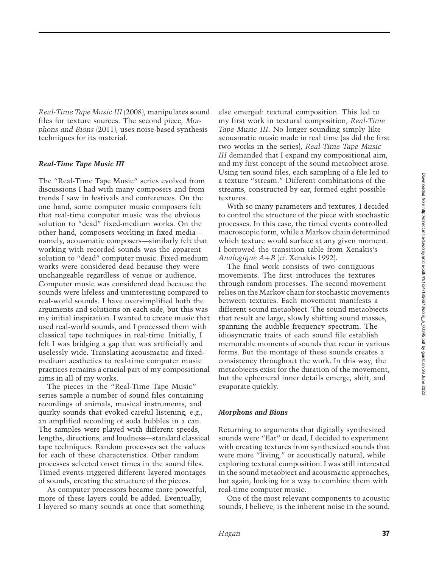*Real-Time Tape Music III* (2008), manipulates sound files for texture sources. The second piece, *Morphons and Bions* (2011), uses noise-based synthesis techniques for its material.

#### *Real-Time Tape Music III*

The "Real-Time Tape Music" series evolved from discussions I had with many composers and from trends I saw in festivals and conferences. On the one hand, some computer music composers felt that real-time computer music was the obvious solution to "dead" fixed-medium works. On the other hand, composers working in fixed media namely, acousmatic composers—similarly felt that working with recorded sounds was the apparent solution to "dead" computer music. Fixed-medium works were considered dead because they were unchangeable regardless of venue or audience. Computer music was considered dead because the sounds were lifeless and uninteresting compared to real-world sounds. I have oversimplified both the arguments and solutions on each side, but this was my initial inspiration. I wanted to create music that used real-world sounds, and I processed them with classical tape techniques in real-time. Initially, I felt I was bridging a gap that was artificially and uselessly wide. Translating acousmatic and fixedmedium aesthetics to real-time computer music practices remains a crucial part of my compositional aims in all of my works.

The pieces in the "Real-Time Tape Music" series sample a number of sound files containing recordings of animals, musical instruments, and quirky sounds that evoked careful listening, e.g., an amplified recording of soda bubbles in a can. The samples were played with different speeds, lengths, directions, and loudness—standard classical tape techniques. Random processes set the values for each of these characteristics. Other random processes selected onset times in the sound files. Timed events triggered different layered montages of sounds, creating the structure of the pieces.

As computer processors became more powerful, more of these layers could be added. Eventually, I layered so many sounds at once that something

else emerged: textural composition. This led to my first work in textural composition, *Real-Time Tape Music III*. No longer sounding simply like acousmatic music made in real time (as did the first two works in the series), *Real-Time Tape Music III* demanded that I expand my compositional aim, and my first concept of the sound metaobject arose. Using ten sound files, each sampling of a file led to a texture "stream." Different combinations of the streams, constructed by ear, formed eight possible textures.

With so many parameters and textures, I decided to control the structure of the piece with stochastic processes. In this case, the timed events controlled macroscopic form, while a Markov chain determined which texture would surface at any given moment. I borrowed the transition table from Xenakis's *Analogique A*+*B* (cf. Xenakis 1992).

The final work consists of two contiguous movements. The first introduces the textures through random processes. The second movement relies on the Markov chain for stochastic movements between textures. Each movement manifests a different sound metaobject. The sound metaobjects that result are large, slowly shifting sound masses, spanning the audible frequency spectrum. The idiosyncratic traits of each sound file establish memorable moments of sounds that recur in various forms. But the montage of these sounds creates a consistency throughout the work. In this way, the metaobjects exist for the duration of the movement, but the ephemeral inner details emerge, shift, and evaporate quickly.

#### *Morphons and Bions*

Returning to arguments that digitally synthesized sounds were "flat" or dead, I decided to experiment with creating textures from synthesized sounds that were more "living," or acoustically natural, while exploring textural composition. I was still interested in the sound metaobject and acousmatic approaches, but again, looking for a way to combine them with real-time computer music.

One of the most relevant components to acoustic sounds, I believe, is the inherent noise in the sound.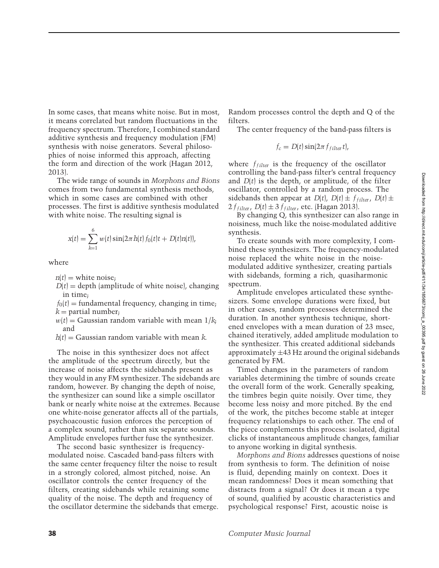In some cases, that means white noise. But in most, it means correlated but random fluctuations in the frequency spectrum. Therefore, I combined standard additive synthesis and frequency modulation (FM) synthesis with noise generators. Several philosophies of noise informed this approach, affecting the form and direction of the work (Hagan 2012, 2013).

The wide range of sounds in *Morphons and Bions* comes from two fundamental synthesis methods, which in some cases are combined with other processes. The first is additive synthesis modulated with white noise. The resulting signal is

$$
x(t) = \sum_{k=1}^{6} w(t) \sin(2\pi h(t) f_0(t)t + D(t) n(t)),
$$

where

 $n(t)$  = white noise;

 $D(t) =$  depth (amplitude of white noise), changing in time;

 $f_0(t)$  = fundamental frequency, changing in time;  $k =$  partial number;

 $w(t)$  = Gaussian random variable with mean  $1/k$ ; and

*h*(*t*) = Gaussian random variable with mean *k*.

The noise in this synthesizer does not affect the amplitude of the spectrum directly, but the increase of noise affects the sidebands present as they would in any FM synthesizer. The sidebands are random, however. By changing the depth of noise, the synthesizer can sound like a simple oscillator bank or nearly white noise at the extremes. Because one white-noise generator affects all of the partials, psychoacoustic fusion enforces the perception of a complex sound, rather than six separate sounds. Amplitude envelopes further fuse the synthesizer.

The second basic synthesizer is frequencymodulated noise. Cascaded band-pass filters with the same center frequency filter the noise to result in a strongly colored, almost pitched, noise. An oscillator controls the center frequency of the filters, creating sidebands while retaining some quality of the noise. The depth and frequency of the oscillator determine the sidebands that emerge. Random processes control the depth and Q of the filters.

The center frequency of the band-pass filters is

$$
f_c = D(t) \sin(2\pi f_{filter} t),
$$

where *f<sub>filter</sub>* is the frequency of the oscillator controlling the band-pass filter's central frequency and  $D(t)$  is the depth, or amplitude, of the filter oscillator, controlled by a random process. The sidebands then appear at  $D(t)$ ,  $D(t) \pm f_{filter}$ ,  $D(t) \pm$  $2 f_{filter}$ ,  $D(t) \pm 3 f_{filter}$ , etc. (Hagan 2013).

By changing Q, this synthesizer can also range in noisiness, much like the noise-modulated additive synthesis.

To create sounds with more complexity, I combined these synthesizers. The frequency-modulated noise replaced the white noise in the noisemodulated additive synthesizer, creating partials with sidebands, forming a rich, quasiharmonic spectrum.

Amplitude envelopes articulated these synthesizers. Some envelope durations were fixed, but in other cases, random processes determined the duration. In another synthesis technique, shortened envelopes with a mean duration of 23 msec, chained iteratively, added amplitude modulation to the synthesizer. This created additional sidebands approximately  $\pm$ 43 Hz around the original sidebands generated by FM.

Timed changes in the parameters of random variables determining the timbre of sounds create the overall form of the work. Generally speaking, the timbres begin quite noisily. Over time, they become less noisy and more pitched. By the end of the work, the pitches become stable at integer frequency relationships to each other. The end of the piece complements this process: isolated, digital clicks of instantaneous amplitude changes, familiar to anyone working in digital synthesis.

*Morphons and Bions* addresses questions of noise from synthesis to form. The definition of noise is fluid, depending mainly on context. Does it mean randomness? Does it mean something that distracts from a signal? Or does it mean a type of sound, qualified by acoustic characteristics and psychological response? First, acoustic noise is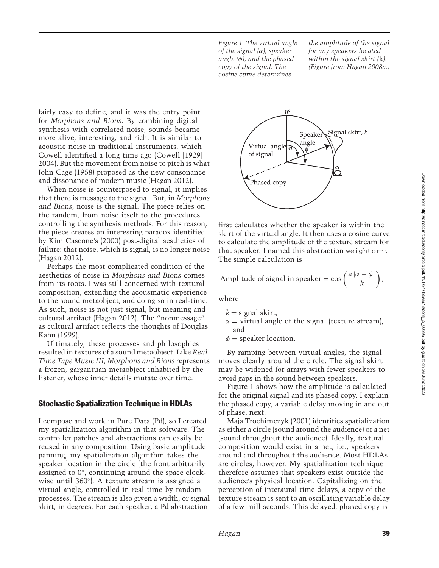*Figure 1. The virtual angle of the signal (*α*), speaker angle (*φ*), and the phased copy of the signal. The cosine curve determines*

*the amplitude of the signal for any speakers located within the signal skirt (*k*). (Figure from Hagan 2008a.)*

fairly easy to define, and it was the entry point for *Morphons and Bions*. By combining digital synthesis with correlated noise, sounds became more alive, interesting, and rich. It is similar to acoustic noise in traditional instruments, which Cowell identified a long time ago (Cowell [1929] 2004). But the movement from noise to pitch is what John Cage (1958) proposed as the new consonance and dissonance of modern music (Hagan 2012).

When noise is counterposed to signal, it implies that there is message to the signal. But, in *Morphons and Bions*, noise is the signal. The piece relies on the random, from noise itself to the procedures controlling the synthesis methods. For this reason, the piece creates an interesting paradox identified by Kim Cascone's (2000) post-digital aesthetics of failure: that noise, which is signal, is no longer noise (Hagan 2012).

Perhaps the most complicated condition of the aesthetics of noise in *Morphons and Bions* comes from its roots. I was still concerned with textural composition, extending the acousmatic experience to the sound metaobject, and doing so in real-time. As such, noise is not just signal, but meaning and cultural artifact (Hagan 2012). The "nonmessage" as cultural artifact reflects the thoughts of Douglas Kahn (1999).

Ultimately, these processes and philosophies resulted in textures of a sound metaobject. Like *Real-Time Tape Music III*, *Morphons and Bions* represents a frozen, gargantuan metaobject inhabited by the listener, whose inner details mutate over time.

## Stochastic Spatialization Technique in HDLAs

I compose and work in Pure Data (Pd), so I created my spatialization algorithm in that software. The controller patches and abstractions can easily be reused in any composition. Using basic amplitude panning, my spatialization algorithm takes the speaker location in the circle (the front arbitrarily assigned to 0◦, continuing around the space clockwise until 360◦). A texture stream is assigned a virtual angle, controlled in real time by random processes. The stream is also given a width, or signal skirt, in degrees. For each speaker, a Pd abstraction



first calculates whether the speaker is within the skirt of the virtual angle. It then uses a cosine curve to calculate the amplitude of the texture stream for that speaker. I named this abstraction weightor∼. The simple calculation is

Amplitude of signal in speaker =  $\cos\left(\frac{\pi|\alpha-\phi|}{k}\right)$ ,

where

- $k =$  signal skirt,
- $\alpha$  = virtual angle of the signal (texture stream), and
- $\phi$  = speaker location.

By ramping between virtual angles, the signal moves clearly around the circle. The signal skirt may be widened for arrays with fewer speakers to avoid gaps in the sound between speakers.

Figure 1 shows how the amplitude is calculated for the original signal and its phased copy. I explain the phased copy, a variable delay moving in and out of phase, next.

Maja Trochimczyk (2001) identifies spatialization as either a circle (sound around the audience) or a net (sound throughout the audience). Ideally, textural composition would exist in a net, i.e., speakers around and throughout the audience. Most HDLAs are circles, however. My spatialization technique therefore assumes that speakers exist outside the audience's physical location. Capitalizing on the perception of interaural time delays, a copy of the texture stream is sent to an oscillating variable delay of a few milliseconds. This delayed, phased copy is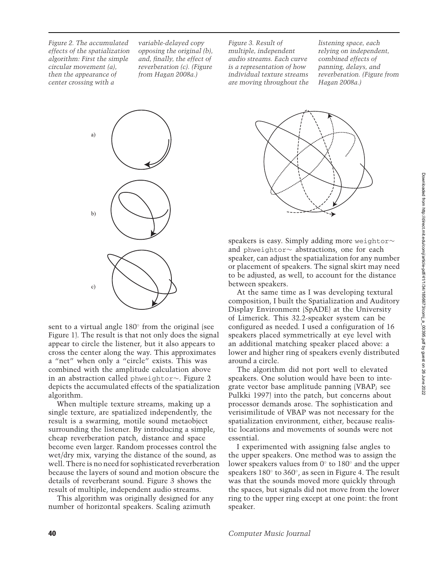*Figure 2. The accumulated effects of the spatialization algorithm: First the simple circular movement (a), then the appearance of center crossing with a*

*variable-delayed copy opposing the original (b), and, finally, the effect of reverberation (c). (Figure from Hagan 2008a.)*

*Figure 3. Result of multiple, independent audio streams. Each curve is a representation of how individual texture streams are moving throughout the*

*listening space, each relying on independent, combined effects of panning, delays, and reverberation. (Figure from Hagan 2008a.)*



sent to a virtual angle 180◦ from the original (see Figure 1). The result is that not only does the signal appear to circle the listener, but it also appears to cross the center along the way. This approximates a "net" when only a "circle" exists. This was combined with the amplitude calculation above in an abstraction called phweightor∼. Figure 2 depicts the accumulated effects of the spatialization algorithm.

When multiple texture streams, making up a single texture, are spatialized independently, the result is a swarming, motile sound metaobject surrounding the listener. By introducing a simple, cheap reverberation patch, distance and space become even larger. Random processes control the wet/dry mix, varying the distance of the sound, as well. There is no need for sophisticated reverberation because the layers of sound and motion obscure the details of reverberant sound. Figure 3 shows the result of multiple, independent audio streams.

This algorithm was originally designed for any number of horizontal speakers. Scaling azimuth



speakers is easy. Simply adding more weightor∼ and phweightor∼ abstractions, one for each speaker, can adjust the spatialization for any number or placement of speakers. The signal skirt may need to be adjusted, as well, to account for the distance between speakers.

At the same time as I was developing textural composition, I built the Spatialization and Auditory Display Environment (SpADE) at the University of Limerick. This 32.2-speaker system can be configured as needed. I used a configuration of 16 speakers placed symmetrically at eye level with an additional matching speaker placed above: a lower and higher ring of speakers evenly distributed around a circle.

The algorithm did not port well to elevated speakers. One solution would have been to integrate vector base amplitude panning (VBAP; see Pulkki 1997) into the patch, but concerns about processor demands arose. The sophistication and verisimilitude of VBAP was not necessary for the spatialization environment, either, because realistic locations and movements of sounds were not essential.

I experimented with assigning false angles to the upper speakers. One method was to assign the lower speakers values from 0◦ to 180◦ and the upper speakers 180◦ to 360◦, as seen in Figure 4. The result was that the sounds moved more quickly through the spaces, but signals did not move from the lower ring to the upper ring except at one point: the front speaker.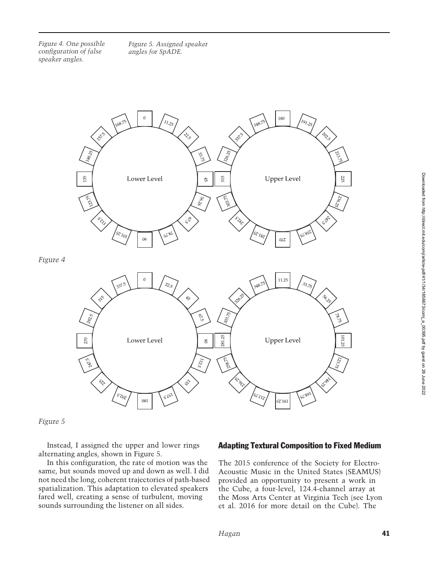*Figure 4. One possible configuration of false speaker angles.*

*Figure 5. Assigned speaker angles for SpADE.*



*Figure 5*

Instead, I assigned the upper and lower rings alternating angles, shown in Figure 5.

In this configuration, the rate of motion was the same, but sounds moved up and down as well. I did not need the long, coherent trajectories of path-based spatialization. This adaptation to elevated speakers fared well, creating a sense of turbulent, moving sounds surrounding the listener on all sides.

## Adapting Textural Composition to Fixed Medium

The 2015 conference of the Society for Electro-Acoustic Music in the United States (SEAMUS) provided an opportunity to present a work in the Cube, a four-level, 124.4-channel array at the Moss Arts Center at Virginia Tech (see Lyon et al. 2016 for more detail on the Cube). The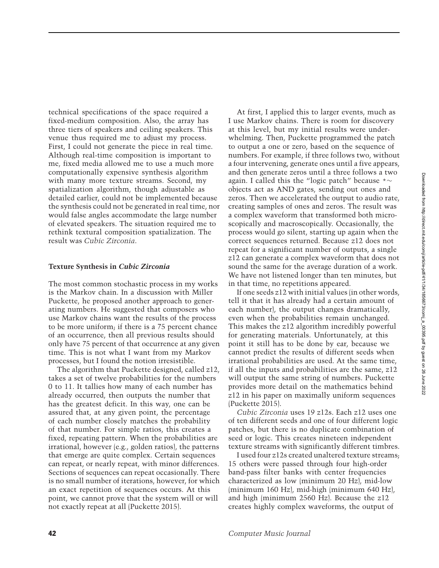technical specifications of the space required a fixed-medium composition. Also, the array has three tiers of speakers and ceiling speakers. This venue thus required me to adjust my process. First, I could not generate the piece in real time. Although real-time composition is important to me, fixed media allowed me to use a much more computationally expensive synthesis algorithm with many more texture streams. Second, my spatialization algorithm, though adjustable as detailed earlier, could not be implemented because the synthesis could not be generated in real time, nor would false angles accommodate the large number of elevated speakers. The situation required me to rethink textural composition spatialization. The result was *Cubic Zirconia*.

#### **Texture Synthesis in** *Cubic Zirconia*

The most common stochastic process in my works is the Markov chain. In a discussion with Miller Puckette, he proposed another approach to generating numbers. He suggested that composers who use Markov chains want the results of the process to be more uniform; if there is a 75 percent chance of an occurrence, then all previous results should only have 75 percent of that occurrence at any given time. This is not what I want from my Markov processes, but I found the notion irresistible.

The algorithm that Puckette designed, called z12, takes a set of twelve probabilities for the numbers 0 to 11. It tallies how many of each number has already occurred, then outputs the number that has the greatest deficit. In this way, one can be assured that, at any given point, the percentage of each number closely matches the probability of that number. For simple ratios, this creates a fixed, repeating pattern. When the probabilities are irrational, however (e.g., golden ratios), the patterns that emerge are quite complex. Certain sequences can repeat, or nearly repeat, with minor differences. Sections of sequences can repeat occasionally. There is no small number of iterations, however, for which an exact repetition of sequences occurs. At this point, we cannot prove that the system will or will not exactly repeat at all (Puckette 2015).

At first, I applied this to larger events, much as I use Markov chains. There is room for discovery at this level, but my initial results were underwhelming. Then, Puckette programmed the patch to output a one or zero, based on the sequence of numbers. For example, if three follows two, without a four intervening, generate ones until a five appears, and then generate zeros until a three follows a two again. I called this the "logic patch" because \*∼ objects act as AND gates, sending out ones and zeros. Then we accelerated the output to audio rate, creating samples of ones and zeros. The result was a complex waveform that transformed both microscopically and macroscopically. Occasionally, the process would go silent, starting up again when the correct sequences returned. Because z12 does not repeat for a significant number of outputs, a single z12 can generate a complex waveform that does not sound the same for the average duration of a work. We have not listened longer than ten minutes, but in that time, no repetitions appeared.

If one seeds z12 with initial values (in other words, tell it that it has already had a certain amount of each number), the output changes dramatically, even when the probabilities remain unchanged. This makes the z12 algorithm incredibly powerful for generating materials. Unfortunately, at this point it still has to be done by ear, because we cannot predict the results of different seeds when irrational probabilities are used. At the same time, if all the inputs and probabilities are the same, z12 will output the same string of numbers. Puckette provides more detail on the mathematics behind z12 in his paper on maximally uniform sequences (Puckette 2015).

*Cubic Zirconia* uses 19 z12s. Each z12 uses one of ten different seeds and one of four different logic patches, but there is no duplicate combination of seed or logic. This creates nineteen independent texture streams with significantly different timbres.

I used four z12s created unaltered texture streams; 15 others were passed through four high-order band-pass filter banks with center frequencies characterized as low (minimum 20 Hz), mid-low (minimum 160 Hz), mid-high (minimum 640 Hz), and high (minimum 2560 Hz). Because the z12 creates highly complex waveforms, the output of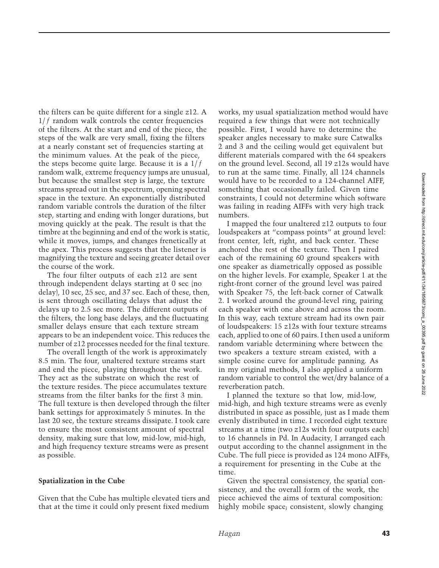the filters can be quite different for a single z12. A  $1/f$  random walk controls the center frequencies of the filters. At the start and end of the piece, the steps of the walk are very small, fixing the filters at a nearly constant set of frequencies starting at the minimum values. At the peak of the piece, the steps become quite large. Because it is a  $1/f$ random walk, extreme frequency jumps are unusual, but because the smallest step is large, the texture streams spread out in the spectrum, opening spectral space in the texture. An exponentially distributed random variable controls the duration of the filter step, starting and ending with longer durations, but moving quickly at the peak. The result is that the timbre at the beginning and end of the work is static, while it moves, jumps, and changes frenetically at the apex. This process suggests that the listener is magnifying the texture and seeing greater detail over the course of the work.

The four filter outputs of each z12 are sent through independent delays starting at 0 sec (no delay), 10 sec, 25 sec, and 37 sec. Each of these, then, is sent through oscillating delays that adjust the delays up to 2.5 sec more. The different outputs of the filters, the long base delays, and the fluctuating smaller delays ensure that each texture stream appears to be an independent voice. This reduces the number of z12 processes needed for the final texture.

The overall length of the work is approximately 8.5 min. The four, unaltered texture streams start and end the piece, playing throughout the work. They act as the substrate on which the rest of the texture resides. The piece accumulates texture streams from the filter banks for the first 3 min. The full texture is then developed through the filter bank settings for approximately 5 minutes. In the last 20 sec, the texture streams dissipate. I took care to ensure the most consistent amount of spectral density, making sure that low, mid-low, mid-high, and high frequency texture streams were as present as possible.

#### **Spatialization in the Cube**

Given that the Cube has multiple elevated tiers and that at the time it could only present fixed medium

works, my usual spatialization method would have required a few things that were not technically possible. First, I would have to determine the speaker angles necessary to make sure Catwalks 2 and 3 and the ceiling would get equivalent but different materials compared with the 64 speakers on the ground level. Second, all 19 z12s would have to run at the same time. Finally, all 124 channels would have to be recorded to a 124-channel AIFF, something that occasionally failed. Given time constraints, I could not determine which software was failing in reading AIFFs with very high track numbers.

I mapped the four unaltered z12 outputs to four loudspeakers at "compass points" at ground level: front center, left, right, and back center. These anchored the rest of the texture. Then I paired each of the remaining 60 ground speakers with one speaker as diametrically opposed as possible on the higher levels. For example, Speaker 1 at the right-front corner of the ground level was paired with Speaker 75, the left-back corner of Catwalk 2. I worked around the ground-level ring, pairing each speaker with one above and across the room. In this way, each texture stream had its own pair of loudspeakers: 15 z12s with four texture streams each, applied to one of 60 pairs. I then used a uniform random variable determining where between the two speakers a texture stream existed, with a simple cosine curve for amplitude panning. As in my original methods, I also applied a uniform random variable to control the wet/dry balance of a reverberation patch.

I planned the texture so that low, mid-low, mid-high, and high texture streams were as evenly distributed in space as possible, just as I made them evenly distributed in time. I recorded eight texture streams at a time (two z12s with four outputs each) to 16 channels in Pd. In Audacity, I arranged each output according to the channel assignment in the Cube. The full piece is provided as 124 mono AIFFs, a requirement for presenting in the Cube at the time.

Given the spectral consistency, the spatial consistency, and the overall form of the work, the piece achieved the aims of textural composition: highly mobile space; consistent, slowly changing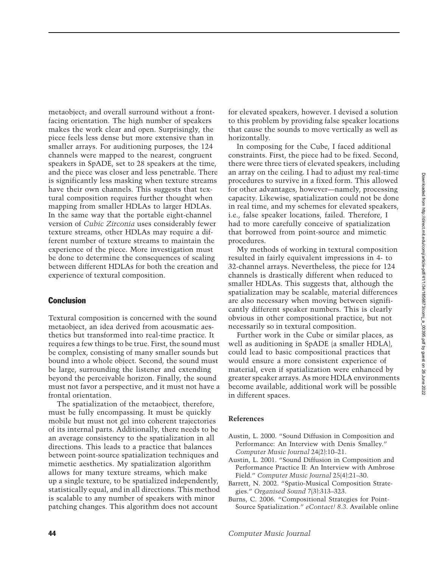metaobject; and overall surround without a frontfacing orientation. The high number of speakers makes the work clear and open. Surprisingly, the piece feels less dense but more extensive than in smaller arrays. For auditioning purposes, the 124 channels were mapped to the nearest, congruent speakers in SpADE, set to 28 speakers at the time, and the piece was closer and less penetrable. There is significantly less masking when texture streams have their own channels. This suggests that textural composition requires further thought when mapping from smaller HDLAs to larger HDLAs. In the same way that the portable eight-channel version of *Cubic Zirconia* uses considerably fewer texture streams, other HDLAs may require a different number of texture streams to maintain the experience of the piece. More investigation must be done to determine the consequences of scaling between different HDLAs for both the creation and experience of textural composition.

## **Conclusion**

Textural composition is concerned with the sound metaobject, an idea derived from acousmatic aesthetics but transformed into real-time practice. It requires a few things to be true. First, the sound must be complex, consisting of many smaller sounds but bound into a whole object. Second, the sound must be large, surrounding the listener and extending beyond the perceivable horizon. Finally, the sound must not favor a perspective, and it must not have a frontal orientation.

The spatialization of the metaobject, therefore, must be fully encompassing. It must be quickly mobile but must not gel into coherent trajectories of its internal parts. Additionally, there needs to be an average consistency to the spatialization in all directions. This leads to a practice that balances between point-source spatialization techniques and mimetic aesthetics. My spatialization algorithm allows for many texture streams, which make up a single texture, to be spatialized independently, statistically equal, and in all directions. This method is scalable to any number of speakers with minor patching changes. This algorithm does not account

for elevated speakers, however. I devised a solution to this problem by providing false speaker locations that cause the sounds to move vertically as well as horizontally.

In composing for the Cube, I faced additional constraints. First, the piece had to be fixed. Second, there were three tiers of elevated speakers, including an array on the ceiling. I had to adjust my real-time procedures to survive in a fixed form. This allowed for other advantages, however—namely, processing capacity. Likewise, spatialization could not be done in real time, and my schemes for elevated speakers, i.e., false speaker locations, failed. Therefore, I had to more carefully conceive of spatialization that borrowed from point-source and mimetic procedures.

My methods of working in textural composition resulted in fairly equivalent impressions in 4- to 32-channel arrays. Nevertheless, the piece for 124 channels is drastically different when reduced to smaller HDLAs. This suggests that, although the spatialization may be scalable, material differences are also necessary when moving between significantly different speaker numbers. This is clearly obvious in other compositional practice, but not necessarily so in textural composition.

Further work in the Cube or similar places, as well as auditioning in SpADE (a smaller HDLA), could lead to basic compositional practices that would ensure a more consistent experience of material, even if spatialization were enhanced by greater speaker arrays. As more HDLA environments become available, additional work will be possible in different spaces.

#### **References**

- Austin, L. 2000. "Sound Diffusion in Composition and Performance: An Interview with Denis Smalley." *Computer Music Journal* 24(2):10–21.
- Austin, L. 2001. "Sound Diffusion in Composition and Performance Practice II: An Interview with Ambrose Field." *Computer Music Journal* 25(4):21–30.
- Barrett, N. 2002. "Spatio-Musical Composition Strategies." *Organised Sound* 7(3):313–323.
- Burns, C. 2006. "Compositional Strategies for Point-Source Spatialization." *eContact! 8.3*. Available online